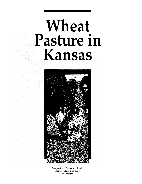# **Wheat Pasture in Kansas**



**Cooperative Extension Service Kansas State University Manhattan**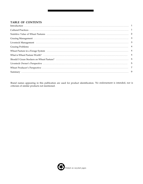# **TABLE OF CONTENTS**

| Livestock Management 33 |  |
|-------------------------|--|
|                         |  |
|                         |  |
|                         |  |
|                         |  |
|                         |  |
|                         |  |
|                         |  |

Brand names appearing in this publication are used for product identification. No endorsement is intended, nor is criticism of similar products not mentioned.

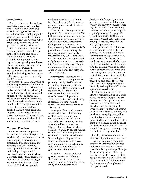#### **Introduction**

Many producers in the southern Great Plains use wheat as a dual crop. Wheat is a cash grain crop as well as forage. Wheat pasture is a valuable source of high-quality forage, typically available in late fall, winter, and early spring, when other forage sources are low in quality and quantity. The crude protein content of wheat pasture commonly ranges from 20–30 percent. The stocking rate during fall and winter ranges from 250–500 animal pounds per acre, depending on growing conditions. During the spring, stocking rates usually can be increased to 500–1,000 animal pounds per acre to utilize the lush growth. Average daily stocker gains are commonly 1.5–2.0 pounds.

In Kansas, the cash grain value of wheat is approximately \$1.2 billion on 10–12 million acres. Three to six million acres of wheat, primarily in the southern half of the state, could be grazed without detrimental effects on grain yields. Wheat pasture allows grain/cattle producers to utilize their acreage more effectively. Many producers have decided that it is more profitable to graze out their wheat than to harvest it for grain. These decisions must be made on a field-to-field and producer-to-producer basis.

#### **Cultural Practices**

**Planting Date.** Early planted wheat has the potential to produce excellent fall growth if soil moisture allows rapid germination and emergence. Dry soil nullifies the advantages of early planting. Wheat planted late in the season limits fall grazing potential. Producers generally plant wheat 2–3 weeks earlier than usual if it is to be grazed. Grazing can begin 4-6 weeks after planting when there is 6–12 inches of growth.

Producers usually try to plant in late August or early September, to promote enough growth to allow fall grazing.

There are disadvantages in planting wheat for pasture too early. The incidence of diseases such as wheat streak mosaic may increase, which would reduce forage production. Early planted wheat serves as a host, spreading the disease to fields planted later. Early planting also encourages heavy Hessian fly infestations. Dry soil conditions frequently prevail in late August and early September and may necessitate "dusting-in" the seed. Variable germination and emergence may cause erratic stands and delay initiation of grazing.

**Planting rate.** Producers interested in early fall grazing increase planting rates by 50–100 percent, depending on planting date and soil moisture. The earlier the planting date, the less the need to increase seeding rates. Higher rates, however, will promote greater upright growth. If planting is delayed, it is important to increase seeding rates as much as 100 percent.

In irrigated fields and in eastern Kansas where rainfall is higher, seeding rates commonly are 90–120 pounds/acre. In dryland areas of western Kansas, seeding rates should be no more than 50 percent above those of wheat planted for grain. In central Kansas, seeding rates for wheat pasture often will be 75–120 pounds/acre. Because high seeding rates can cause moisture stress, it is necessary to monitor soil moisture carefully to determine when the top growth should be removed.

**Varieties.** There are probably greater year-to-year differences than varietal differences in total forage produced. A Kansas grazing study found a difference of

2,000 pounds forage dry matter/ acre between years with the same variety, but only 800 pounds forage dry matter/acre difference among varieties. In a five-year Texas grazing study, seasonal forage yields ranged from 2,700–8,800 pounds dry matter/acre, but the difference among 13 varieties ranged from 600–2,500 pounds/acre.

Some plant characteristics make certain varieties more useful for grazing. Producers should select varieties that tiller profusely, have rapid, upright fall growth, and good regrowth potential after grazing. In much of Kansas, it is important that grazing varieties be resistant to soilborne mosaic virus and Hessian fly. In much of eastern and central Kansas, varieties should be tolerant to aluminum toxicity caused by acid soils. These problems can reduce forage yields dramatically and require careful management to avoid losses.

In other regions of the Great Plains, producers mix species such as rye and annual ryegrass to promote growth throughout the year. Because rye has excellent fall growth, it maybe mixed with wheat to improve early fall growth for graze-out. Wheat ordinarily will produce more spring forage than rye. Species mixtures are not a good practice for a field that will be combined, because of the potential for dockage at the elevator. Farmers should destroy the rye after grazing to eliminate seed production.

**Fertility.** Adequate amounts of all essential plant nutrients are necessary for maximum forage production. Wheat used for grazing will remove more soil nutrients than the wheat grain crop. Nitrogen (N) is usually the most limiting nutrient associated with wheat forage production. A soil test for available nitrogen is helpful in evaluating the amount of supplemental nitrogen needed.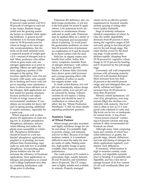Wheat forage containing 25 percent crude protein will have 80 pounds of nitrogen in each ton of dry matter. Realistic forage yields and the growing season are factors to consider when applying fertilizers. A general recommendation is to increase nitrogen rates by 30–50 pounds/acre for wheat as forage or for more specific recommendations, this formula can be used: (animals/acre) x expected pounds of weight gain  $x$  0.4 = amount of nitrogen/acre to add. Many producers who utilize wheat as grain make only one nitrogen application at or prior to planting. Others use split applications, applying a portion of the nitrogen in the spring. This increases application costs, but particularly with sandy soils susceptible to leaching and heavy soils subject to standing water (denitrification), it allows more efficient use of the nitrogen. Split applications are best suited for grazing situations because producers can adjust N-rates to forage removal and environmental conditions. If conditions are favorable for heavy fall and/or spring grazing, additional N maybe necessary, especially for a grain crop.

Wheat responds well to phosphorus (P) application on soils testing low in available phosphorus. Phosphorus deficiency reduces wheat tillering and makes the plants more susceptible to winterkill. Phosphorus fertilization should be based on a soil test. Banded phosphorus applications, preplant or at planting, are more efficient than broadcasting, especially on acid soils low in available phosphorus. Incorporating phosphorus fertilizer into the soil increases the efficiency of broadcast applications. Dual applications of nitrogen and phosphorus in a band with a tillage implement save time by combining fertilization with tillage prior to planting.

Potassium (K) deficiency also can limit forage production. A soil test is the best guide for sound K applications. Low potassium levels are common in southeastern Kansas soils and in sandy soils. Potassium may be applied either as a starter or can be broadcast and incorporated ahead of planting. To avoid possible germination problems, no more than 20 pounds/acre of potassium (or combination of N and K) should be in direct contact with the seed.

Soils low in organic matter may benefit from sulfur. Sulfur deficiency symptoms resemble those of nitrogen deficiency, with yellowing leaves and slow growth. Studies at Kansas State University have shown grain yield increases and a forage greening effect with the addition of sulfur on sandy, low-organic-matter soils.

In south central Kansas, low soil pH can dramatically reduce forage and grain yields. Low soil pH can be corrected by liming. Tolerant varieties do not replace a liming program and should be used in combination to reduce the pH effect. See the "Wheat Production Handbook," C-529, for more details regarding production practices.

## **Nutritive Value of Wheat Pasture**

Wheat forage provides succulent and highly nutritious forage for cattle and sheep. It is palatable; high in protein, energy, and minerals, and low in fiber. Because of its high moisture content, it is sometimes difficult to meet the daily dry matter needs of cattle. Making some dry, high-quality forage or grain available often improves animal performance.

The crude protein (CP) content is particularly high, usually between 20 and 30 percent, and sometimes above 30 percent. The CP component is highly soluble and available to animals. Properly managed

wheat can be an effective protein supplement for livestock simultaneously grazing or eating other lower quality feedstuffs.

Stage of maturity influences chemical composition of wheat. In vitro dry matter digestibility decreases from 80 percent or more during the vegetative stages of fall and early spring to less than 60 percent by the soft dough stage. The major decline occurs by the heading stage. Crude protein also declines rapidly, dropping from 25–30 percent for vegetative wheat forage to 12–15 percent by heading and 9–10 percent by the soft dough stage.

Conversely, cell wall components increase with advancing maturity. Total cell wall (neutral detergent fiber) increases from less than 40 percent to the mid-50 percent range, and acid detergent fiber, primarily cellulose and lignin, increases from 20–25 percent to more than 30 percent.

Mineral content [potassium, calcium (Ca), phosphorus, and magnesium (Mg)] also declines considerably with maturity. The Ca:P ratio is often as low as 1:1.1 compared with a desired 2:1 ratio, and Mg levels can be low or inadequate for animal needs. A free-choice "wheat pasture mineral" containing 6–8 percent calcium and magnesium is often recommended for livestock on wheat.

Although many trials comparing types and varieties of wheat have noted differences in quality, the growth stage, climatic differences, and rate and timing of nitrogen fertilizer applications regularly overshadow such differences.

In summary, wheat pasture is high in moisture content, crude protein, and digestible nutrients prior to heading. It is palatable and digestible, and has a fast rate of passage because of its low content of cell wall constituents (fiber and lignin).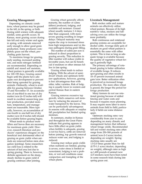#### **Grazing Management**

Depending on climatic conditions, wheat pasture may be grazed in the fall, in the spring, or both. During mild winters with adequate rainfall, some growth occurs. In Kansas, most grazing occurs during late fall and early winter and again in spring, with animals removed early enough to allow good grain production. Some producers completely graze out the wheat, precluding grain harvest.

To maximize forage for grazing, early seeding, increased seeding rate, and more nitrogen fertilizer are recommended. Depending on rainfall and stored soil moisture, wheat pasture is generally available for 120–150 days. Grazing cannot begin until the plants have adequate root development to prevent their being uprooted by grazing animals. Ordinarily, wheat is available for grazing between October 15 and November 15. An accumulation of one-third to one ton of dry matter/acre (6–12 inches tall) will result in excellent season-long pasture production, provided moisture, temperature, and management are reasonable. More typically, however, an accumulation of one-fourth to one-half ton of dry matter/acre (4–8 inches tall) should be available before grazing begins.

Wheat tends to produce more tillers and leaves than are necessary for maximum grain yield. However, research literature and producers' experiences disagree on the beneficial and detrimental effect of grazing on grain yields when animals are removed before stem elongation (jointing). Some researchers say yield loss is related to the amount of leaf area lost due to spring grazing. There is, however, definite agreement on the sharp, steady decline in grain yield if grazing continues after jointing.

Grazing wheat generally affects maturity, the number of culms (tillers) produced, lodging, and available soil moisture. Grazed wheat usually matures 1–4 days later than ungrazed, with more severe grazing resulting in longer delays. Delayed maturity may expose the crop to increased stress from high temperatures and/or disease pathogens during grain filling.

The number of culms per acre is reduced in direct proportion to grazing severity. This reduction in tiller number will reduce yields in favorable years, but can be beneficial if moisture or other stresses follow in late spring.

Grazing wheat tends to reduce lodging. With the advent of semidwarf wheats and optimum fertilizer applications, however, grazing is less advantageous than with older, taller varieties. Risk of lodging is usually lower in western and central Kansas than in eastern Kansas.

Grazing removes excessive top growth, which conserves soil moisture by reducing the amount of water transpired by the leaves. This can be particularly advantageous in seasons with adequate or surplus fall precipitation but limited spring moisture.

In summary, studies in Kansas and throughout the Great Plains indicate that grazing appears to have little effect on grain yields when fertility is adequate, grazing is not too heavy, cattle are removed before jointing, top growth removal reduces water use, and lodging is reduced.

Grazing may reduce grain yields when nutrients are limited, grazing is severe, water stress is limited or nonexistent, lodging is not a problem, or wet soil conditions cause compaction and trampling of the wheat plants.

#### **Livestock Management**

Both stocker cattle and mature animals can effectively utilize wheat pasture. Because of its high nutritive value, stockers and fallcalving cows can utilize the forage more profitably.

Both continuous and rotational grazing systems are acceptable for stocker cattle. Average daily gain of stockers on good wheat pasture is essentially the same with either system. This is true as long as adequate forage is available because the quality of vegetative wheat forage is generally high.

The primary advantage of rotational grazing is better utilization of available forage. It reduces spot grazing and often results in 10–15 percent increased animal gain/acre. Better utilization often is perceived as increased forage production. The more often wheat is grazed, the longer the period for forage production.

Many farmers do not use rotational grazing because of added fencing and water costs and because it requires more planning. It may require more labor to move animals from field to field, particularly if fields are some distance apart.

Optimum stocking rates vary considerably from year to year, depending on many climatic and management factors that influence wheat forage yields. Recommended fall and winter stocking rates often range from 250–500 pounds of animal/acre (l–2 acres/stocker, depending on weight). Spring stocking rates usually are 1.5-2.0 times greater than for fall (0.75-1.3 acres/stocker, depending on weight), although rates as high as 1,400 pounds of animal/acre (2.5 stockers/acre) have been noted in some research trials during late spring graze out.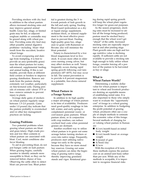Providing stockers with dry feed in addition to the wheat pasture allows increased stocking rates and may improve general animal health. Grass hay, silage, or limited grain may be fed, or adjacent sorghum stubble or cornstalks may be grazed along with wheat pasture. Providing some dry feed may offset possible animal digestive problems—including bloat—that result from the succulent, laxative wheat forage.

To avoid overgrazing and damage from trampling, it is best to provide an area (preferably grass) near the wheat pasture for water, salt-mineral, supplemental feeding, and animal loafing. If this is not feasible, provide them at different field corners or borders to improve grazing distribution. Remove animals from the pasture during extremely wet weather, particularly on fine-textured soils. During periods of extreme cold—about 15°F or less—remove animals to prevent injury to plants.

Average daily gains of stockers on wheat pasture regularly range between 1.5–2.0 pounds. Gains under 1.0 pound/day indicate that the pasture probably is overstocked and/or other key management practices are lacking.

### **Grazing Problems**

Two potential problems when grazing wheat pasture are bloat and grass tetany. High crude protein and low fiber contents in wheat pasture are associated with bloat. Cool, moist conditions also favor bloating.

To aid in preventing bloat, do not put hungry cattle on lush pasture. When grazing begins, carefully monitor to identify animals more susceptible to bloat, so they can be removed before chance of loss. Observing the cattle often to detect bloat can prevent loss. Bloat potential is greatest during the 3- to 4-week periods of lush growth in the fall and early spring. Feeding Bloat-Guard (poloxalene) as a dry or liquid energy supplement, molasses block, or mineral supplement is the most effective procedure to prevent bloat. Feeding high-quality grass hay, silage and/or grain with Rumensin or Bovatec also will minimize the bloat potential.

Tetany is characterized by a low blood magnesium level in livestock. It occurs more often in older cows nursing young calves, but may affect stockers as well. Tetany frequently occurs during rapid spring growth following cool temperatures (45º–60ºF), but may occur in fall. The easiest prevention is to provide 6–8 percent magnesium in a palatable, free-choice mineral supplement.

## **Wheat Pasture in a Forage System**

In addition to its high quality a major advantage of wheat pasture is its time of availability. Producers need good-quality roughage in late fall, winter, and early spring to complement perennial warm- or cool-season grass pastures. Wheat pasture alone, or in conjunction with crop residues, can reduce cowherd feed costs when perennial grasses are dormant.

Another excellent way to utilize wheat pasture is to graze out some acreage before turning stockers or cows into native range. Frequently, producers start utilizing native range too early in the spring because they have no more stored hay reserves. Grazing out some wheat pasture can delay the beginning of grazing native range, thereby improving grassland stands and vigor. Rotational grazing during rapid spring growth will keep the wheat plant vegetative longer for graze-out purposes.

As the season progresses, stocking rates must be increased to utilize all the forage being produced; pasture must be stocked heavy enough that the wheat won't get "ahead" of the cattle. Increased stocking rates are especially important at and after jointing stage. Plant growth rates are high and forage nutritive value is declining rapidly. If sufficient cattle are not available to provide a stocking rate high enough to fully utilize wheat forage, consider fencing off a portion of the pasture to be harvested as hay or silage.

## **What is Wheat Pasture Worth?**

Determining a realistic dollar value for wheat pasture is important to wheat and livestock producers desiring an equitable means of establishing rental rates. It is also important to those who simply want to evaluate the "opportunity cost" of forage in a wheat grazing enterprise. In addition to budgeting the profit potential of grazing wheat, producers often use a couple of simple methods to estimate the economic value of this forage. Several methods of charging for or valuing wheat pasture in Kansas are:

- \$/cwt/month based on initial body weight
- \$/cwt/month based on average weight
- $\blacksquare$ \$/pound of gain
- $\blacksquare$  \$/head/day
- $\blacksquare$  \$/acre

With the exception of \$/acre, these methods express the pasture cost on an animal-unit basis rather than per acre. While any of the methods is accepable, it is important to recognize financial risks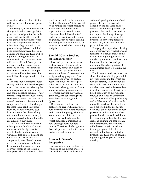associated with each for both the cattle owner and the wheat pasture owner.

For example, if the wheat pasture charge is based on average daily gain, the cost of gain for the cattle owner will not be affected with poor gains, but the wheat owner may feel compensation for the wheat is not high enough. If the pasture charge is based on initial body weight, however, the cost of gain for the cattle producer will be high with poor gains while the compensation to the wheat owner will not be affected. Some producers use a combination of several methods to reduce the financial risk to both parties. An example of this would be a fixed rate plus an additional charge based on cattle gains.

The rate should reflect the local supply and demand for wheat pasture. If the owner provides any feed or management such as fencing and cattle handling facilities, water, mineral, supplemental feed during snow cover, animal care, and guaranteed head count, the rate should compensate for each. The charges for these items can be separate from the standard pasture cost. It is important that the stocking rate and all other terms be negotiated and agreed to before the cattle are placed on the wheat.

Livestock producers who own wheat pasture should make optimum use of this high-quality forage. It should not, however, be viewed as free. If local demand for rental wheat pasture exists, the "opportunity cost" based on one of the methods above can be used to determine the economic value of wheat forage to the farming enterprise. This also makes it clear

whether the cattle or the wheat are "making the money." If the feasibility of renting the wheat pasture as a cash crop does not exist, its opportunity cost would be zero. However, the additional out-ofpocket expenses incurred because of grazing, such as higher seeding and nitrogen fertilization rates, still must be included when developing budgets.

## **Should I Graze Stockers on Wheat Pasture?**

Livestock producers use wheat pasture because it is generally a high-quality forage and costs of gain on wheat pasture are often lower than those of a conventional backgrounding program. Wheat producers use wheat as pasture because it maybe the most profitable use of the wheat. There are three basic wheat grain and forage strategies wheat producers need to consider: harvest the wheat for grain only, harvest as forage and grain, harvest as forage only (graze out).

Determining whether it is profitable to graze wheat requires both livestock and wheat producers to do partial budgeting. The livestock producer is interested in returns per head, whereas the wheat producer is interested in how grazing affects per-acre returns. Therefore, the budget of a livestock producer will differ from that of a wheat producer.

## **Livestock Owner's Perspective**

A livestock producer's budget will include the income and costs per head associated with owning

cattle and grazing them on wheat pasture. Returns to livestock depend on the purchase price of cattle, costs of wheat pasture, supplemental feed and other production inputs, the timing of forage production, the efficiency of the livestock in converting forage to weight gain, death loss, and sale price of the cattle.

Forage yields depend on planting date, weather, variety selection, and fertilization. Because many of the factors affecting forage yields are decided by the wheat producer, it is important for the livestock producer and the wheat producer to communicate prior to planting the wheat.

The livestock producer must consider all factors affecting profitability when budgeting for wheat pasture profitability. Even though all costs will affect profitability, only variable costs need to be considered in making management decisions. Fixed costs such as depreciation, interest, and taxes on equipment and facilities will affect profitability and will be incurred with or without cattle purchase. Because these costs are fixed in the production year, they can be left out of budget projections and should not affect production decisions. In addition to estimating profitability, it is beneficial to estimate the cost of gain on wheat pasture and compare it with the cost of gain in a drylot feeding program. Table 1 is an example of the type of budget a livestock producer who is considering renting wheat pasture should develop.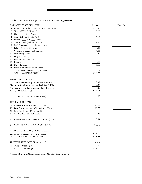**Table 1.** Cost return budget for winter wheat grazing (steers)<sup>1</sup>.

| \$40.50<br>1. Wheat Pasture $(\$2.25 / \text{cwt}/\text{mo} \times 4.5 \text{ cwt} \times 4 \text{ mo})$<br>Silage (900 lb @ \$16/ton)<br>7.20<br>2.<br>Hay $(\_\_\$ {lb} @ \_\_/ \text{ton})<br>3.<br>Grain (2.4 cwt @ \$4.45 / cwt)<br>10.68<br>4.<br>Protein $(\_\_\$ {lb@}\_\_\/ ton)<br>5.<br>Vitamins-salt (30 lb @ \$.15/lb)<br>4.50<br>6.<br>Feed Processing ( ____bu @ ___bu)<br>7.<br>Labor $(0.5 \; hr \; @ \; $8.00/hr)$<br>4.00<br>8.<br>9. Veterinary, Drugs, and Supplies<br>10.00<br>10. Marketing Costs<br>3.50<br>12.00<br>Freight, Yardage<br>11.<br>12. Utilities, Fuel, and Oil<br>Repairs<br>1.00<br>13.<br>14. Miscellaneous<br>2.50<br>15. Interest on Purchased Livestock<br>+ ½ Variable Costs @ 10% (120 days)<br>16.67<br>TOTAL VARIABLE COSTS<br>\$112.55<br>А.<br>FIXED COSTS PER HEAD:<br>16. Depreciation on Equipment and Facilities<br>\$6.88<br>17. Interest on Equipment and Facilities @ 10%<br>3.28<br>18. Insurance on Equipment and Facilities @ .25%<br>0.16<br>\$10.32<br><b>B. TOTAL FIXED COSTS</b><br>C. TOTAL COSTS PER HEAD $(A + B)$<br>\$122.87<br>RETURNS PER HEAD:<br>\$583.05<br>19. Market Animal: 690 lb @ \$84.50/cwt<br>452.25<br>20. Less Cost of Animal: 450 lb @ \$100.50/cwt<br>21. Less Death Loss: 2% of line 19.<br>11.66<br>\$119.14<br><b>GROSS RETURN PER HEAD</b><br>D.<br>\$6.59<br>Е.<br>RETURNS OVER VARIABLE COSTS (D - A)<br>RETURNS OVER TOTAL COSTS (D - C)<br>F.<br>$-$ \$ 3.73<br>G. AVERAGE SELLING PRICE NEEDED:<br>22. To Cover Variable Cost and Feeder<br>\$83.55<br>23. To Cover Total Cost and Feeder<br>\$85.04<br>H. TOTAL FEED COST (lines 1 thru 7)<br>\$62.88<br>24. Cwt produced (gain)<br>2.40<br>25. Feed cost per cwt gain<br>\$26.20 | VARIABLE COSTS PER HEAD: | Example | Your Farm |
|-----------------------------------------------------------------------------------------------------------------------------------------------------------------------------------------------------------------------------------------------------------------------------------------------------------------------------------------------------------------------------------------------------------------------------------------------------------------------------------------------------------------------------------------------------------------------------------------------------------------------------------------------------------------------------------------------------------------------------------------------------------------------------------------------------------------------------------------------------------------------------------------------------------------------------------------------------------------------------------------------------------------------------------------------------------------------------------------------------------------------------------------------------------------------------------------------------------------------------------------------------------------------------------------------------------------------------------------------------------------------------------------------------------------------------------------------------------------------------------------------------------------------------------------------------------------------------------------------------------------------------------------------------------------------------------------------------------------------------------|--------------------------|---------|-----------|
|                                                                                                                                                                                                                                                                                                                                                                                                                                                                                                                                                                                                                                                                                                                                                                                                                                                                                                                                                                                                                                                                                                                                                                                                                                                                                                                                                                                                                                                                                                                                                                                                                                                                                                                                   |                          |         |           |
|                                                                                                                                                                                                                                                                                                                                                                                                                                                                                                                                                                                                                                                                                                                                                                                                                                                                                                                                                                                                                                                                                                                                                                                                                                                                                                                                                                                                                                                                                                                                                                                                                                                                                                                                   |                          |         |           |
|                                                                                                                                                                                                                                                                                                                                                                                                                                                                                                                                                                                                                                                                                                                                                                                                                                                                                                                                                                                                                                                                                                                                                                                                                                                                                                                                                                                                                                                                                                                                                                                                                                                                                                                                   |                          |         |           |
|                                                                                                                                                                                                                                                                                                                                                                                                                                                                                                                                                                                                                                                                                                                                                                                                                                                                                                                                                                                                                                                                                                                                                                                                                                                                                                                                                                                                                                                                                                                                                                                                                                                                                                                                   |                          |         |           |
|                                                                                                                                                                                                                                                                                                                                                                                                                                                                                                                                                                                                                                                                                                                                                                                                                                                                                                                                                                                                                                                                                                                                                                                                                                                                                                                                                                                                                                                                                                                                                                                                                                                                                                                                   |                          |         |           |
|                                                                                                                                                                                                                                                                                                                                                                                                                                                                                                                                                                                                                                                                                                                                                                                                                                                                                                                                                                                                                                                                                                                                                                                                                                                                                                                                                                                                                                                                                                                                                                                                                                                                                                                                   |                          |         |           |
|                                                                                                                                                                                                                                                                                                                                                                                                                                                                                                                                                                                                                                                                                                                                                                                                                                                                                                                                                                                                                                                                                                                                                                                                                                                                                                                                                                                                                                                                                                                                                                                                                                                                                                                                   |                          |         |           |
|                                                                                                                                                                                                                                                                                                                                                                                                                                                                                                                                                                                                                                                                                                                                                                                                                                                                                                                                                                                                                                                                                                                                                                                                                                                                                                                                                                                                                                                                                                                                                                                                                                                                                                                                   |                          |         |           |
|                                                                                                                                                                                                                                                                                                                                                                                                                                                                                                                                                                                                                                                                                                                                                                                                                                                                                                                                                                                                                                                                                                                                                                                                                                                                                                                                                                                                                                                                                                                                                                                                                                                                                                                                   |                          |         |           |
|                                                                                                                                                                                                                                                                                                                                                                                                                                                                                                                                                                                                                                                                                                                                                                                                                                                                                                                                                                                                                                                                                                                                                                                                                                                                                                                                                                                                                                                                                                                                                                                                                                                                                                                                   |                          |         |           |
|                                                                                                                                                                                                                                                                                                                                                                                                                                                                                                                                                                                                                                                                                                                                                                                                                                                                                                                                                                                                                                                                                                                                                                                                                                                                                                                                                                                                                                                                                                                                                                                                                                                                                                                                   |                          |         |           |
|                                                                                                                                                                                                                                                                                                                                                                                                                                                                                                                                                                                                                                                                                                                                                                                                                                                                                                                                                                                                                                                                                                                                                                                                                                                                                                                                                                                                                                                                                                                                                                                                                                                                                                                                   |                          |         |           |
|                                                                                                                                                                                                                                                                                                                                                                                                                                                                                                                                                                                                                                                                                                                                                                                                                                                                                                                                                                                                                                                                                                                                                                                                                                                                                                                                                                                                                                                                                                                                                                                                                                                                                                                                   |                          |         |           |
|                                                                                                                                                                                                                                                                                                                                                                                                                                                                                                                                                                                                                                                                                                                                                                                                                                                                                                                                                                                                                                                                                                                                                                                                                                                                                                                                                                                                                                                                                                                                                                                                                                                                                                                                   |                          |         |           |
|                                                                                                                                                                                                                                                                                                                                                                                                                                                                                                                                                                                                                                                                                                                                                                                                                                                                                                                                                                                                                                                                                                                                                                                                                                                                                                                                                                                                                                                                                                                                                                                                                                                                                                                                   |                          |         |           |
|                                                                                                                                                                                                                                                                                                                                                                                                                                                                                                                                                                                                                                                                                                                                                                                                                                                                                                                                                                                                                                                                                                                                                                                                                                                                                                                                                                                                                                                                                                                                                                                                                                                                                                                                   |                          |         |           |
|                                                                                                                                                                                                                                                                                                                                                                                                                                                                                                                                                                                                                                                                                                                                                                                                                                                                                                                                                                                                                                                                                                                                                                                                                                                                                                                                                                                                                                                                                                                                                                                                                                                                                                                                   |                          |         |           |
|                                                                                                                                                                                                                                                                                                                                                                                                                                                                                                                                                                                                                                                                                                                                                                                                                                                                                                                                                                                                                                                                                                                                                                                                                                                                                                                                                                                                                                                                                                                                                                                                                                                                                                                                   |                          |         |           |
|                                                                                                                                                                                                                                                                                                                                                                                                                                                                                                                                                                                                                                                                                                                                                                                                                                                                                                                                                                                                                                                                                                                                                                                                                                                                                                                                                                                                                                                                                                                                                                                                                                                                                                                                   |                          |         |           |
|                                                                                                                                                                                                                                                                                                                                                                                                                                                                                                                                                                                                                                                                                                                                                                                                                                                                                                                                                                                                                                                                                                                                                                                                                                                                                                                                                                                                                                                                                                                                                                                                                                                                                                                                   |                          |         |           |
|                                                                                                                                                                                                                                                                                                                                                                                                                                                                                                                                                                                                                                                                                                                                                                                                                                                                                                                                                                                                                                                                                                                                                                                                                                                                                                                                                                                                                                                                                                                                                                                                                                                                                                                                   |                          |         |           |
|                                                                                                                                                                                                                                                                                                                                                                                                                                                                                                                                                                                                                                                                                                                                                                                                                                                                                                                                                                                                                                                                                                                                                                                                                                                                                                                                                                                                                                                                                                                                                                                                                                                                                                                                   |                          |         |           |
|                                                                                                                                                                                                                                                                                                                                                                                                                                                                                                                                                                                                                                                                                                                                                                                                                                                                                                                                                                                                                                                                                                                                                                                                                                                                                                                                                                                                                                                                                                                                                                                                                                                                                                                                   |                          |         |           |
|                                                                                                                                                                                                                                                                                                                                                                                                                                                                                                                                                                                                                                                                                                                                                                                                                                                                                                                                                                                                                                                                                                                                                                                                                                                                                                                                                                                                                                                                                                                                                                                                                                                                                                                                   |                          |         |           |
|                                                                                                                                                                                                                                                                                                                                                                                                                                                                                                                                                                                                                                                                                                                                                                                                                                                                                                                                                                                                                                                                                                                                                                                                                                                                                                                                                                                                                                                                                                                                                                                                                                                                                                                                   |                          |         |           |
|                                                                                                                                                                                                                                                                                                                                                                                                                                                                                                                                                                                                                                                                                                                                                                                                                                                                                                                                                                                                                                                                                                                                                                                                                                                                                                                                                                                                                                                                                                                                                                                                                                                                                                                                   |                          |         |           |
|                                                                                                                                                                                                                                                                                                                                                                                                                                                                                                                                                                                                                                                                                                                                                                                                                                                                                                                                                                                                                                                                                                                                                                                                                                                                                                                                                                                                                                                                                                                                                                                                                                                                                                                                   |                          |         |           |
|                                                                                                                                                                                                                                                                                                                                                                                                                                                                                                                                                                                                                                                                                                                                                                                                                                                                                                                                                                                                                                                                                                                                                                                                                                                                                                                                                                                                                                                                                                                                                                                                                                                                                                                                   |                          |         |           |
|                                                                                                                                                                                                                                                                                                                                                                                                                                                                                                                                                                                                                                                                                                                                                                                                                                                                                                                                                                                                                                                                                                                                                                                                                                                                                                                                                                                                                                                                                                                                                                                                                                                                                                                                   |                          |         |           |
|                                                                                                                                                                                                                                                                                                                                                                                                                                                                                                                                                                                                                                                                                                                                                                                                                                                                                                                                                                                                                                                                                                                                                                                                                                                                                                                                                                                                                                                                                                                                                                                                                                                                                                                                   |                          |         |           |
|                                                                                                                                                                                                                                                                                                                                                                                                                                                                                                                                                                                                                                                                                                                                                                                                                                                                                                                                                                                                                                                                                                                                                                                                                                                                                                                                                                                                                                                                                                                                                                                                                                                                                                                                   |                          |         |           |
|                                                                                                                                                                                                                                                                                                                                                                                                                                                                                                                                                                                                                                                                                                                                                                                                                                                                                                                                                                                                                                                                                                                                                                                                                                                                                                                                                                                                                                                                                                                                                                                                                                                                                                                                   |                          |         |           |
|                                                                                                                                                                                                                                                                                                                                                                                                                                                                                                                                                                                                                                                                                                                                                                                                                                                                                                                                                                                                                                                                                                                                                                                                                                                                                                                                                                                                                                                                                                                                                                                                                                                                                                                                   |                          |         |           |
|                                                                                                                                                                                                                                                                                                                                                                                                                                                                                                                                                                                                                                                                                                                                                                                                                                                                                                                                                                                                                                                                                                                                                                                                                                                                                                                                                                                                                                                                                                                                                                                                                                                                                                                                   |                          |         |           |
|                                                                                                                                                                                                                                                                                                                                                                                                                                                                                                                                                                                                                                                                                                                                                                                                                                                                                                                                                                                                                                                                                                                                                                                                                                                                                                                                                                                                                                                                                                                                                                                                                                                                                                                                   |                          |         |           |
|                                                                                                                                                                                                                                                                                                                                                                                                                                                                                                                                                                                                                                                                                                                                                                                                                                                                                                                                                                                                                                                                                                                                                                                                                                                                                                                                                                                                                                                                                                                                                                                                                                                                                                                                   |                          |         |           |
|                                                                                                                                                                                                                                                                                                                                                                                                                                                                                                                                                                                                                                                                                                                                                                                                                                                                                                                                                                                                                                                                                                                                                                                                                                                                                                                                                                                                                                                                                                                                                                                                                                                                                                                                   |                          |         |           |
|                                                                                                                                                                                                                                                                                                                                                                                                                                                                                                                                                                                                                                                                                                                                                                                                                                                                                                                                                                                                                                                                                                                                                                                                                                                                                                                                                                                                                                                                                                                                                                                                                                                                                                                                   |                          |         |           |
|                                                                                                                                                                                                                                                                                                                                                                                                                                                                                                                                                                                                                                                                                                                                                                                                                                                                                                                                                                                                                                                                                                                                                                                                                                                                                                                                                                                                                                                                                                                                                                                                                                                                                                                                   |                          |         |           |
|                                                                                                                                                                                                                                                                                                                                                                                                                                                                                                                                                                                                                                                                                                                                                                                                                                                                                                                                                                                                                                                                                                                                                                                                                                                                                                                                                                                                                                                                                                                                                                                                                                                                                                                                   |                          |         |           |
|                                                                                                                                                                                                                                                                                                                                                                                                                                                                                                                                                                                                                                                                                                                                                                                                                                                                                                                                                                                                                                                                                                                                                                                                                                                                                                                                                                                                                                                                                                                                                                                                                                                                                                                                   |                          |         |           |
|                                                                                                                                                                                                                                                                                                                                                                                                                                                                                                                                                                                                                                                                                                                                                                                                                                                                                                                                                                                                                                                                                                                                                                                                                                                                                                                                                                                                                                                                                                                                                                                                                                                                                                                                   |                          |         |           |
|                                                                                                                                                                                                                                                                                                                                                                                                                                                                                                                                                                                                                                                                                                                                                                                                                                                                                                                                                                                                                                                                                                                                                                                                                                                                                                                                                                                                                                                                                                                                                                                                                                                                                                                                   |                          |         |           |

1 Source: KSU Farm Management Guide MF-1009, 1992 Revision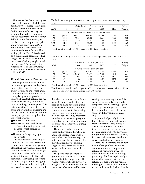The factors that have the biggest effect on livestock profitability are purchase price, average daily gain, and sale price. Producers must decide how much risk they can bear and the best way to manage the risk associated with each factor. Table 2 shows the sensitivity of breakeven price to purchase price and average daily gain (ADG). Table 3 shows the sensitivity of returns to the same factors. The selling price in Table 3 is adjusted by a sliding scale based on selling weight. For more information on the effects of selling weight on selling price see "Factors Affecting Auction Prices of Feeder Cattle," Kansas State University Extension bulletin C-697.

#### **Wheat Producer's Perspective**

Wheat producers want to maximize returns per acre, so they have more options than the cattle producer. Returns to the wheat grain enterprise increase if the livestock enterprise generates positive returns. If livestock returns are negative, however, they will reduce returns to the grain enterprise. This is true whether the wheat producer owns the livestock or is leasing the wheat pasture to someone. The following are producer's options for the wheat enterprise:

- Harvest as grain only
- Harvest as grain and forage
	- a. Own cattle and graze wheat
	- b. Lease wheat pasture to
		- someone
- Harvest as forage only (graze out wheat)

The production of grain only is common, but the next two options require more intense management. Harvesting the wheat as grain and forage requires judicious management to maximize cattle gains while minimizing potential yield reductions. Harvesting the wheat as forage only requires managing the wheat to maximize cattle gains per acre. The decision to graze out

**Table 2.** Sensitivity of breakeven price to purchase price and average daily gain.

|      | Cattle Purchase Price (per cwt) |         |         |                                                   |         | Selling             |
|------|---------------------------------|---------|---------|---------------------------------------------------|---------|---------------------|
| ADG  | \$85                            | \$90    | \$95    | \$100                                             | \$105   | Weight <sup>1</sup> |
|      |                                 |         |         | Selling price per cwt needed to cover total costs |         |                     |
| 1.50 | \$81.48                         | \$85.26 | \$89.05 | \$92.83                                           | \$96.62 | 630                 |
| 1.75 | 77.78                           | 81.39   | 85.00   | 88.61                                             | 92.22   | 660                 |
| 2.00 | 74.40                           | 77.85   | 81.31   | 84.76                                             | 88.21   | 690                 |
| 2.25 | 71.30                           | 74.61   | 77.92   | 81.23                                             | 84.54   | 720                 |
| 2.50 | 68.44                           | 71.62   | 74.80   | 77.98                                             | 81.16   | 750                 |

'Based on initial weight of 450 pounds and 120 days on pasture.

**Table 3.** Sensitivity of returns per head to average daily gain and purchase mice.<sup>2</sup>

| Cattle Purchase Price (per cwt) |             |             |                                  |             | Selling     |                     |
|---------------------------------|-------------|-------------|----------------------------------|-------------|-------------|---------------------|
| ADG                             | \$85        | \$90        | \$95                             | \$100       | \$105       | Weight <sup>1</sup> |
|                                 |             |             | Returns per head over total cost |             |             |                     |
| 1.50                            | $-$ \$50.28 | $-$ \$42.62 | $-$ \$34.96                      | $-$ \$27.29 | $-$ \$19.63 | 630                 |
| 1.75                            | $-33.18$    | $-24.02$    | $-14.86$                         | $-5.69$     | $-3.47$     | 660                 |
| 2.00                            | $-16.53$    | 5.87        | 4.79                             | 15.46       | 26.12       | 690                 |
| 2.25                            | $-0.33$     | 11.83       | 23.99                            | 36.16       | 48.32       | 720                 |
| 2.50                            | 15.42       | 29.08       | 42.74                            | 56.41       | 70.07       | 750                 |

<sup>1</sup>Based on initial weight of 450 pounds and 120 days on pasture.

 $^{2}$ Based on a \$13/cwt buy-sell margin for 450 pound-690 pound steers and a \$1.25/cwt price slide for every 50-pound change from 690 pounds.

the wheat or remove the cattle and harvest grain generally does not need to be made at planting time. If the wheat is to be harvested for grain, removing cattle by jointing stage is important to minimize yield reductions. Thus, producers considering a graze-out program can delay their decision, and monitor wheat and cattle prices during the winter.

The examples that follow are based on harvesting the wheat as grain and forage. There will be years when the decision to graze out wheat may be necessary before the wheat reaches the jointing stage. In those cases, the budget format in the example can still be used.

The production of wheat for grain only is used as the baseline for profitability comparisons. The wheat producer should develop a budget to analyze whether returns per acre can be increased by harvesting the wheat as grain and forage or as forage only (graze out) compared with harvesting as grain only. A partial budget can be used to compare the returns of grazing wheat with harvesting for grain only.

A partial budget only includes the costs and income that change from the baseline. This makes it easy to see if grazing the wheat increases or decreases the income per acre compared with harvesting for grain only. It does not, however, indicate if all costs associated with wheat production are covered.

Table 4 is an example of a budget that a wheat producer who owns cattle would use to compare the returns of harvesting wheat as grain and forage with harvesting grain only. The first step in analyzing whether grazing will increase returns per acre is the per head cattle budget. All costs directly related to the cattle must be included in the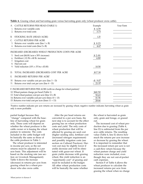| А.                                                                            | <b>CATTLE RETURNS PER HEAD (TABLE 1)</b><br>Returns over variable costs<br>Returns over total costs                                                              | Example<br>\$6.59<br>3.73 | Your Farm |  |  |  |
|-------------------------------------------------------------------------------|------------------------------------------------------------------------------------------------------------------------------------------------------------------|---------------------------|-----------|--|--|--|
| B.                                                                            | STOCKING RATE (HEAD/ACRE)                                                                                                                                        | 1.25                      |           |  |  |  |
| C.<br>3.                                                                      | <b>CATTLE RETURNS PER ACRE</b><br>Returns over variable costs (line $1 \times B$ )<br>4. Returns over total costs (line $2 \times B$ )                           | 8.23<br>4.67              |           |  |  |  |
|                                                                               | INCREASED (DECREASED) WHEAT PRODUCTION COSTS PER ACRE                                                                                                            |                           |           |  |  |  |
| 5.<br>6.<br>8.                                                                | Seed cost (\$4.00/acre x 50% increase)<br>Fertilizer (.12/lb x 40 lb. increase)<br>Irrigation cost<br>Harvest cost                                               | \$2.00<br>4.80            |           |  |  |  |
| 9.                                                                            | Yield reduction $(10\% \times 35 \text{ bu} \times $3.00)$                                                                                                       | 10.50                     |           |  |  |  |
| D.                                                                            | TOTAL INCREASED (DECREASED) COST PER ACRE                                                                                                                        | \$17.30                   |           |  |  |  |
| Ε.                                                                            | <b>INCREASED RETURNS PER ACRE</b> <sup>1</sup>                                                                                                                   |                           |           |  |  |  |
| 10.<br>11.                                                                    | Returns over variable cost per acre (line $3 - D$ )<br>Returns over total cost per acre (line $4 - D$ )                                                          | -\$9.07<br>- 21.97        |           |  |  |  |
| F. INCREASED RETURNS PER ACRE (with no charge for wheat pasture) <sup>1</sup> |                                                                                                                                                                  |                           |           |  |  |  |
|                                                                               | 12. Wheat pasture charge per head (Table 1)<br>13. Total wheat pasture cost per acre (line 12 x B)<br>14. Returns over variable cost per acre (lines $10 + 13$ ) | \$40.50<br>50.63<br>41.56 |           |  |  |  |
| 15. Returns over total cost per acre (lines 11 + 13)<br>28.66                 |                                                                                                                                                                  |                           |           |  |  |  |

**Table 4.** Grazing wheat and harvesting grain versus harvesting grain only (wheat producer owns cattle).

1 Positive number indicates per acre returns are increased by grazing wheat; negative number indicates harvesting wheat as grain only is more profitable.

partial budget because they "change" compared with the baseline of harvesting wheat for grain only. These costs will depend on whether the wheat producer is the cattle owner or is leasing the wheat pasture to someone. The costs included in the cattle budget will be basically the same as those of the cattle producer in Table 1.

The wheat producer is interested in income per acre, so the net returns must be adjusted to a per acre basis. This adjustment will be based on the stocking rate (see section on Livestock Management). Table 4 shows the increase (decrease) in returns per acre from grazing wheat for a wheat producer who also owns cattle.

After the per head returns are converted to a per acre basis, the next step is to account for the effect grazing has on wheat production costs and yield. The only costs of wheat production that will be affected by grazing are seed cost (higher seeding rate), fertilizer cost (increased nitrogen requirement) and possibly irrigation costs (see section on Cultural Practices). Harvest cost may be slightly lower if yields decrease and will be eliminated with graze-out wheat. If grain yields decrease with grazing wheat, this yield reduction is an "opportunity cost" of grazing and must be included in the budget. All other wheat production costs will be basically the same whether

the wheat is harvested as grain only, grain and forage, or grazed out.

The increased cost of wheat production due to grazing (Table 4, line D) is subtracted from the per acre cattle returns. The resulting value (Table 4, line E) shows how much the returns per acre increase or decrease by grazing the wheat. It is important to remember that the increased return per acre is not a cash-flow return because the wheat pasture charge and yield reduction were included, even though they are not out-of-pocket cash expenses.

Section F of Table 4 allows the wheat producer to calculate the increased returns per acre from grazing the wheat when no charge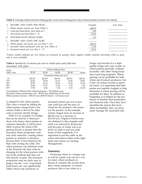**Table 5.** Grazing wheat and harvesting grain versus harvesting grain only (wheat producer leases out wheat).

| A. INCOME AND COSTS PER HEAD:                              | Example | Your Farm |
|------------------------------------------------------------|---------|-----------|
| 1. Wheat pasture income per head (Table 1)                 | \$40.50 |           |
| 2. Costs per head (fence, care, feed, etc.)                | 0.00    |           |
| 3. Net returns per head (line 1 - 2)                       | 40.50   |           |
| B. STOCKING RATE (HEAD/ACRE)                               | 1.25    |           |
| C. INCOME AND COSTS PER ACRE:                              |         |           |
| 4. Wheat pasture net income per acre (line $3 \times B$ )  | \$50.63 |           |
| 5. Increased wheat production costs per acre (Table 4)     | 17.30   |           |
| 6. Increased returns per acre (line $4 - 5$ ) <sup>1</sup> | 33.33   |           |

<sup>1</sup>Positive number indicates per acre returns are increased by grazing wheat; negative number indicates harvesting wheat as grain only is more profitable.

**Table 6.** Sensitivity of returns per acre to wheat price and yield loss associated with grain.

| Grain      | <b>Wheat Selling Price</b> |         |                           |         |          |
|------------|----------------------------|---------|---------------------------|---------|----------|
| Yield Loss | \$2.00                     | \$2.50  | \$3.00                    | \$3.50  | \$4.00   |
|            |                            |         | Increased return per acre |         |          |
| $0\%$      | \$43.83                    | \$43.83 | \$43.83                   | \$43.83 | \$43.83  |
| 10%        | 36.83                      | 35.08   | 33.33                     | 31.58   | 29.83    |
| 20%        | 29.83                      | 26.33   | 22.83                     | 19.33   | 15.83    |
| 30%        | 22.83                      | 17.57   | 12.32                     | 7.07    | 1.82     |
| 40%        | 15.82                      | 8.82    | 1.82                      | 5.18    | $-12.18$ |

Assumptions: Wheat yield without grazing = 35 bushels/acre Increased wheat production cost = \$6.80/acre (\$4.80 fert, \$2.00 seed) Wheat pasture income =  $$50.63/$  acre (\$40.50/head x 1.25 head/acre)

is assigned to the wheat pasture. This value is found by adding the wheat pasture charge back to the returns (Table 4, line E) No other costs or income should change.

Table 5 is an example of a budget that can be used by a wheat producer who leases wheat pasture to someone. Basically, it will be profitable to graze the wheat if the grazing income is greater than the increased wheat production costs and yield reduction. Leasing wheat pasture to someone is attractive because there is less financial risk than with owning the cattle. The wheat producer can eliminate some of the financial risk that exists by charging for the wheat pasture with one of the methods that does not rely heavily on gain. The increased production costs are fairly easy to project, but the "cost" of potential yield losses can vary significantly. Table 6 shows the sensitivity of

increased returns per acre to percent yield loss and the price of wheat for the producer who leases out the pasture. In the example, returns ranged from an increase of \$43.83/acre to a decrease of \$12.18/acre. Negative returns were not obtained in this example until yield was reduced by 40 percent and the price of wheat was over \$3.00. In order to prevent yield losses of this magnitude, it is important to put the cattle on the wheat and remove them at the right times (see section on Grazing Management).

#### **Summary**

Producing wheat as a forage crop as well as a grain crop can be a way for many wheat producers in Kansas to enhance the income from their wheat enterprise. Livestock producers like to use wheat as a

forage crop because it is a highquality forage and costs of gain on wheat pasture generally compare favorably with other backgrounding or growing programs. Wheat grazing can be profitable for both wheat and livestock producers, but it also can reduce income or generate losses. It is important that both parties put together budgets to help determine if wheat grazing will be profitable for them. In addition to budgeting, it is helpful for the producers to identify their production and financial risks. Once they have identified the factors that most affect profitability, they can more easily manage the associated risk.